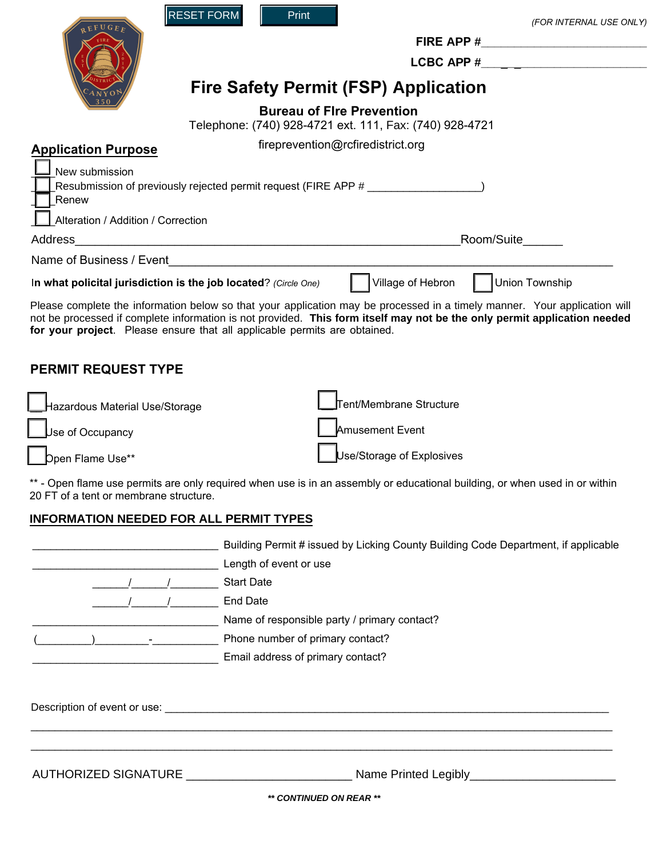|                                    | <b>RESET FORM</b><br>Print                                                       | (FOR INTERNAL USE ONLY)                                                                                                                                                                                                                               |
|------------------------------------|----------------------------------------------------------------------------------|-------------------------------------------------------------------------------------------------------------------------------------------------------------------------------------------------------------------------------------------------------|
|                                    |                                                                                  |                                                                                                                                                                                                                                                       |
|                                    |                                                                                  | <b>LCBC APP #</b>                                                                                                                                                                                                                                     |
|                                    |                                                                                  | <b>Fire Safety Permit (FSP) Application</b>                                                                                                                                                                                                           |
|                                    |                                                                                  | <b>Bureau of Fire Prevention</b><br>Telephone: (740) 928-4721 ext. 111, Fax: (740) 928-4721                                                                                                                                                           |
| <b>Application Purpose</b>         |                                                                                  | fireprevention@rcfiredistrict.org                                                                                                                                                                                                                     |
| New submission<br>Renew            | Resubmission of previously rejected permit request (FIRE APP # _________________ |                                                                                                                                                                                                                                                       |
| Alteration / Addition / Correction |                                                                                  |                                                                                                                                                                                                                                                       |
| Address                            | <u> 1980 - Andrea Andrew Maria (h. 1980).</u>                                    | Room/Suite                                                                                                                                                                                                                                            |
|                                    |                                                                                  |                                                                                                                                                                                                                                                       |
|                                    | In what policital jurisdiction is the job located? (Circle One)                  | Village of Hebron<br>Union Township                                                                                                                                                                                                                   |
|                                    | for your project. Please ensure that all applicable permits are obtained.        | Please complete the information below so that your application may be processed in a timely manner. Your application will<br>not be processed if complete information is not provided. This form itself may not be the only permit application needed |
| <b>PERMIT REQUEST TYPE</b>         |                                                                                  |                                                                                                                                                                                                                                                       |
| Hazardous Material Use/Storage     |                                                                                  | Tent/Membrane Structure                                                                                                                                                                                                                               |
| $\bigcup$ se of Occupancy          |                                                                                  | <b>Amusement Event</b>                                                                                                                                                                                                                                |

2

Dpen Flame Use\*\*

Use/Storage of Explosives

\*\* - Open flame use permits are only required when use is in an assembly or educational building, or when used in or within 20 FT of a tent or membrane structure.

# **INFORMATION NEEDED FOR ALL PERMIT TYPES**

Е

<u> The Communication of the Communication of</u>

п

|  | Building Permit # issued by Licking County Building Code Department, if applicable |
|--|------------------------------------------------------------------------------------|
|  | Length of event or use                                                             |
|  | <b>Start Date</b>                                                                  |
|  | End Date                                                                           |
|  | Name of responsible party / primary contact?                                       |
|  | Phone number of primary contact?                                                   |
|  | Email address of primary contact?                                                  |
|  |                                                                                    |

Description of event or use: \_\_\_\_\_\_\_\_\_\_\_\_\_\_\_\_\_\_\_\_\_\_\_\_\_\_\_\_\_\_\_\_\_\_\_\_\_\_\_\_\_\_\_\_\_\_\_\_\_\_\_\_\_\_\_\_\_\_\_\_\_\_\_\_\_\_\_\_\_\_\_\_\_\_

AUTHORIZED SIGNATURE \_\_\_\_\_\_\_\_\_\_\_\_\_\_\_\_\_\_\_\_\_\_\_\_\_\_\_\_\_\_\_\_\_\_ Name Printed Legibly\_\_\_\_\_\_\_\_\_\_\_\_\_\_\_\_\_\_\_\_\_\_\_\_

*\*\* CONTINUED ON REAR \*\**

\_\_\_\_\_\_\_\_\_\_\_\_\_\_\_\_\_\_\_\_\_\_\_\_\_\_\_\_\_\_\_\_\_\_\_\_\_\_\_\_\_\_\_\_\_\_\_\_\_\_\_\_\_\_\_\_\_\_\_\_\_\_\_\_\_\_\_\_\_\_\_\_\_\_\_\_\_\_\_\_\_\_\_\_\_\_\_\_\_\_\_\_\_\_\_\_\_